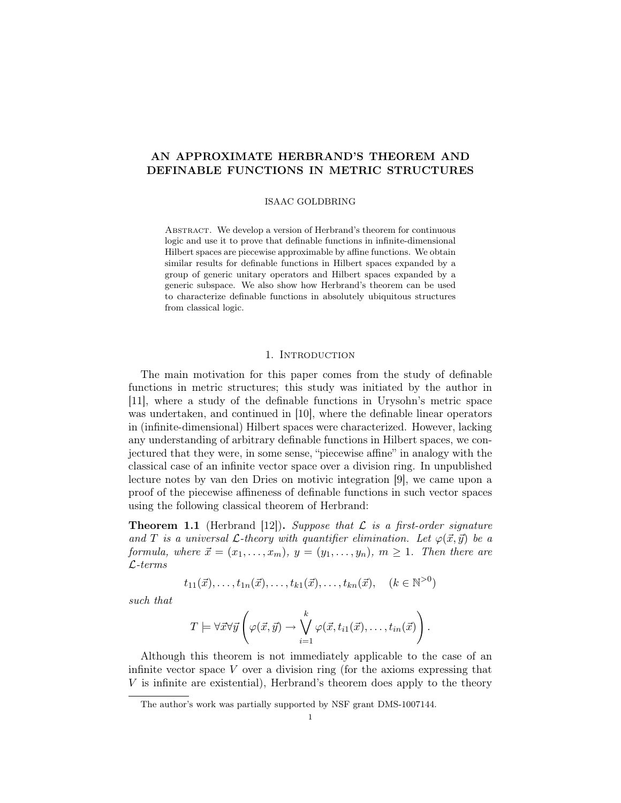# AN APPROXIMATE HERBRAND'S THEOREM AND DEFINABLE FUNCTIONS IN METRIC STRUCTURES

### ISAAC GOLDBRING

ABSTRACT. We develop a version of Herbrand's theorem for continuous logic and use it to prove that definable functions in infinite-dimensional Hilbert spaces are piecewise approximable by affine functions. We obtain similar results for definable functions in Hilbert spaces expanded by a group of generic unitary operators and Hilbert spaces expanded by a generic subspace. We also show how Herbrand's theorem can be used to characterize definable functions in absolutely ubiquitous structures from classical logic.

# 1. INTRODUCTION

The main motivation for this paper comes from the study of definable functions in metric structures; this study was initiated by the author in [11], where a study of the definable functions in Urysohn's metric space was undertaken, and continued in [10], where the definable linear operators in (infinite-dimensional) Hilbert spaces were characterized. However, lacking any understanding of arbitrary definable functions in Hilbert spaces, we conjectured that they were, in some sense, "piecewise affine" in analogy with the classical case of an infinite vector space over a division ring. In unpublished lecture notes by van den Dries on motivic integration [9], we came upon a proof of the piecewise affineness of definable functions in such vector spaces using the following classical theorem of Herbrand:

**Theorem 1.1** (Herbrand [12]). Suppose that  $\mathcal{L}$  is a first-order signature and T is a universal L-theory with quantifier elimination. Let  $\varphi(\vec{x}, \vec{y})$  be a formula, where  $\vec{x} = (x_1, \ldots, x_m)$ ,  $y = (y_1, \ldots, y_n)$ ,  $m \ge 1$ . Then there are L-terms

$$
t_{11}(\vec{x}),..., t_{1n}(\vec{x}),..., t_{k1}(\vec{x}),..., t_{kn}(\vec{x}), \quad (k \in \mathbb{N}^{>0})
$$

such that

$$
T \models \forall \vec{x} \forall \vec{y} \left( \varphi(\vec{x}, \vec{y}) \rightarrow \bigvee_{i=1}^{k} \varphi(\vec{x}, t_{i1}(\vec{x}), \dots, t_{in}(\vec{x}) \right).
$$

Although this theorem is not immediately applicable to the case of an infinite vector space  $V$  over a division ring (for the axioms expressing that V is infinite are existential), Herbrand's theorem does apply to the theory

The author's work was partially supported by NSF grant DMS-1007144.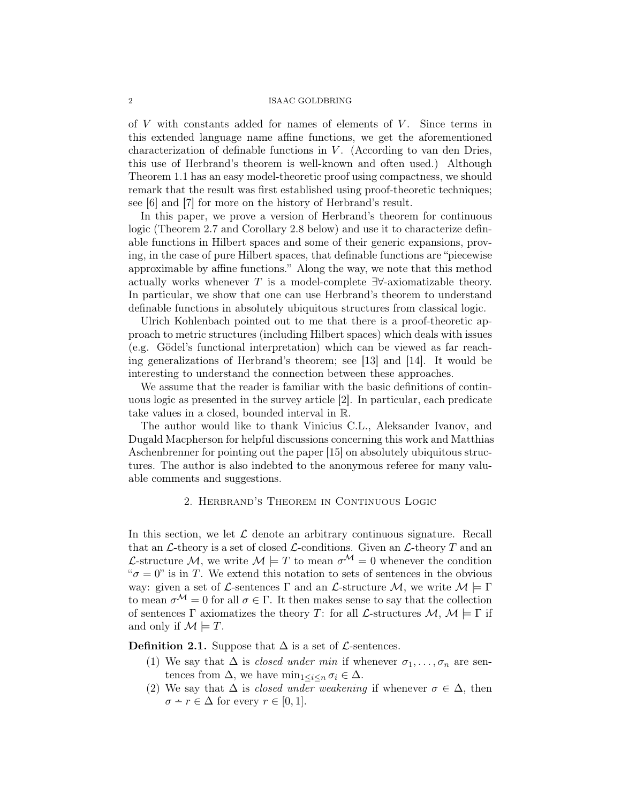of  $V$  with constants added for names of elements of  $V$ . Since terms in this extended language name affine functions, we get the aforementioned characterization of definable functions in  $V$ . (According to van den Dries, this use of Herbrand's theorem is well-known and often used.) Although Theorem 1.1 has an easy model-theoretic proof using compactness, we should remark that the result was first established using proof-theoretic techniques; see [6] and [7] for more on the history of Herbrand's result.

In this paper, we prove a version of Herbrand's theorem for continuous logic (Theorem 2.7 and Corollary 2.8 below) and use it to characterize definable functions in Hilbert spaces and some of their generic expansions, proving, in the case of pure Hilbert spaces, that definable functions are "piecewise approximable by affine functions." Along the way, we note that this method actually works whenever T is a model-complete  $\exists\forall$ -axiomatizable theory. In particular, we show that one can use Herbrand's theorem to understand definable functions in absolutely ubiquitous structures from classical logic.

Ulrich Kohlenbach pointed out to me that there is a proof-theoretic approach to metric structures (including Hilbert spaces) which deals with issues (e.g. Gödel's functional interpretation) which can be viewed as far reaching generalizations of Herbrand's theorem; see [13] and [14]. It would be interesting to understand the connection between these approaches.

We assume that the reader is familiar with the basic definitions of continuous logic as presented in the survey article [2]. In particular, each predicate take values in a closed, bounded interval in R.

The author would like to thank Vinicius C.L., Aleksander Ivanov, and Dugald Macpherson for helpful discussions concerning this work and Matthias Aschenbrenner for pointing out the paper [15] on absolutely ubiquitous structures. The author is also indebted to the anonymous referee for many valuable comments and suggestions.

# 2. Herbrand's Theorem in Continuous Logic

In this section, we let  $\mathcal L$  denote an arbitrary continuous signature. Recall that an  $\mathcal{L}\text{-theory}$  is a set of closed  $\mathcal{L}\text{-conditions}$ . Given an  $\mathcal{L}\text{-theory }T$  and an L-structure M, we write  $M \models T$  to mean  $\sigma^M = 0$  whenever the condition " $\sigma = 0$ " is in T. We extend this notation to sets of sentences in the obvious way: given a set of L-sentences  $\Gamma$  and an L-structure  $\mathcal{M}$ , we write  $\mathcal{M} \models \Gamma$ to mean  $\sigma^{\mathcal{M}} = 0$  for all  $\sigma \in \Gamma$ . It then makes sense to say that the collection of sentences Γ axiomatizes the theory T: for all  $\mathcal{L}$ -structures  $\mathcal{M}, \mathcal{M} \models \Gamma$  if and only if  $\mathcal{M} \models T$ .

**Definition 2.1.** Suppose that  $\Delta$  is a set of  $\mathcal{L}$ -sentences.

- (1) We say that  $\Delta$  is *closed under min* if whenever  $\sigma_1, \ldots, \sigma_n$  are sentences from  $\Delta$ , we have  $\min_{1 \leq i \leq n} \sigma_i \in \Delta$ .
- (2) We say that  $\Delta$  is *closed under weakening* if whenever  $\sigma \in \Delta$ , then  $\sigma - r \in \Delta$  for every  $r \in [0, 1]$ .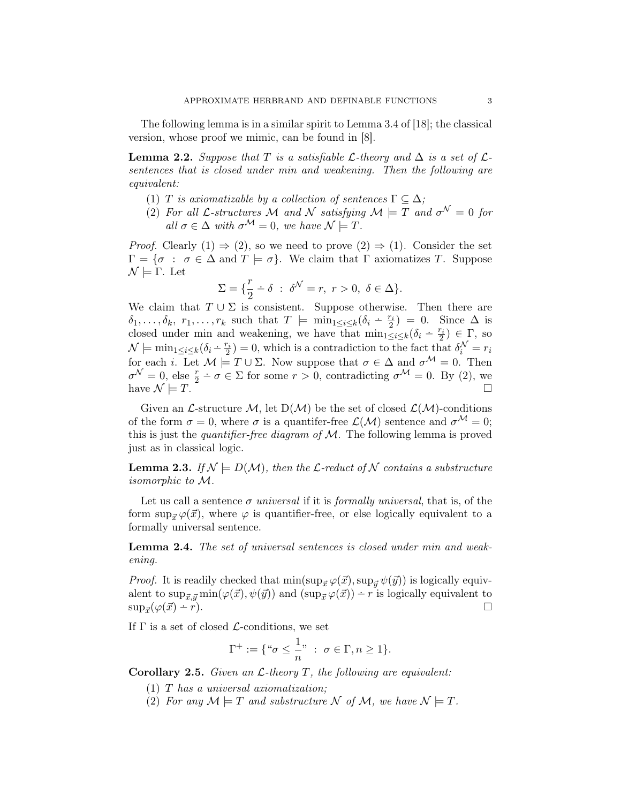The following lemma is in a similar spirit to Lemma 3.4 of [18]; the classical version, whose proof we mimic, can be found in [8].

**Lemma 2.2.** Suppose that T is a satisfiable  $\mathcal{L}$ -theory and  $\Delta$  is a set of  $\mathcal{L}$ sentences that is closed under min and weakening. Then the following are equivalent:

- (1) T is axiomatizable by a collection of sentences  $\Gamma \subseteq \Delta$ ;
- (2) For all L-structures M and N satisfying  $\mathcal{M} \models T$  and  $\sigma^{\mathcal{N}} = 0$  for all  $\sigma \in \Delta$  with  $\sigma^{\mathcal{M}} = 0$ , we have  $\mathcal{N} \models T$ .

*Proof.* Clearly  $(1) \Rightarrow (2)$ , so we need to prove  $(2) \Rightarrow (1)$ . Consider the set  $\Gamma = \{\sigma : \sigma \in \Delta \text{ and } T \models \sigma\}.$  We claim that  $\Gamma$  axiomatizes T. Suppose  $\mathcal{N} \models \Gamma$ . Let

$$
\Sigma = \{\frac{r}{2} - \delta \; : \; \delta^{\mathcal{N}} = r, \; r > 0, \; \delta \in \Delta\}.
$$

We claim that  $T \cup \Sigma$  is consistent. Suppose otherwise. Then there are  $\delta_1,\ldots,\delta_k$ ,  $r_1,\ldots,r_k$  such that  $T \models \min_{1 \leq i \leq k} (\delta_i - \frac{r_i}{2}) = 0$ . Since  $\Delta$  is closed under min and weakening, we have that  $\min_{1 \leq i \leq k} (\delta_i - \frac{r_i}{2}) \in \Gamma$ , so  $\mathcal{N} \models \min_{1 \leq i \leq k} (\delta_i - \frac{r_i}{2}) = 0$ , which is a contradiction to the fact that  $\delta_i^{\mathcal{N}} = r_i$ for each i. Let  $M \models T \cup \Sigma$ . Now suppose that  $\sigma \in \Delta$  and  $\sigma^{\mathcal{M}} = 0$ . Then  $\sigma^{\mathcal{N}}=0$ , else  $\frac{r}{2}-\sigma\in\Sigma$  for some  $r>0$ , contradicting  $\sigma^{\mathcal{M}}=0$ . By (2), we have  $\mathcal{N} \models T$ .

Given an L-structure M, let  $D(M)$  be the set of closed  $\mathcal{L}(\mathcal{M})$ -conditions of the form  $\sigma = 0$ , where  $\sigma$  is a quantifer-free  $\mathcal{L}(\mathcal{M})$  sentence and  $\sigma^{\mathcal{M}} = 0$ ; this is just the *quantifier-free diagram of*  $M$ . The following lemma is proved just as in classical logic.

**Lemma 2.3.** If  $\mathcal{N} \models D(\mathcal{M})$ , then the  $\mathcal{L}\text{-reduct of }\mathcal{N}$  contains a substructure isomorphic to M.

Let us call a sentence  $\sigma$  universal if it is formally universal, that is, of the form  $\sup_{\vec{x}} \varphi(\vec{x})$ , where  $\varphi$  is quantifier-free, or else logically equivalent to a formally universal sentence.

Lemma 2.4. The set of universal sentences is closed under min and weakening.

*Proof.* It is readily checked that  $\min(\sup_{\vec{x}} \varphi(\vec{x}), \sup_{\vec{y}} \psi(\vec{y}))$  is logically equivalent to  $\sup_{\vec{x},\vec{y}} \min(\varphi(\vec{x}),\psi(\vec{y}))$  and  $(\sup_{\vec{x}} \varphi(\vec{x})) - r$  is logically equivalent to  $\sup_{\vec{x}}(\varphi(\vec{x}) - r).$  $\Gamma$ ).

If  $\Gamma$  is a set of closed  $\mathcal{L}$ -conditions, we set

$$
\Gamma^+:=\{{\text{``}}\sigma\leq \frac{1}{n}{\text{''}}\;:\; \sigma\in\Gamma, n\geq 1\}.
$$

**Corollary 2.5.** Given an  $\mathcal{L}$ -theory T, the following are equivalent:

- $(1)$  T has a universal axiomatization;
- (2) For any  $\mathcal{M} \models T$  and substructure  $\mathcal{N}$  of  $\mathcal{M}$ , we have  $\mathcal{N} \models T$ .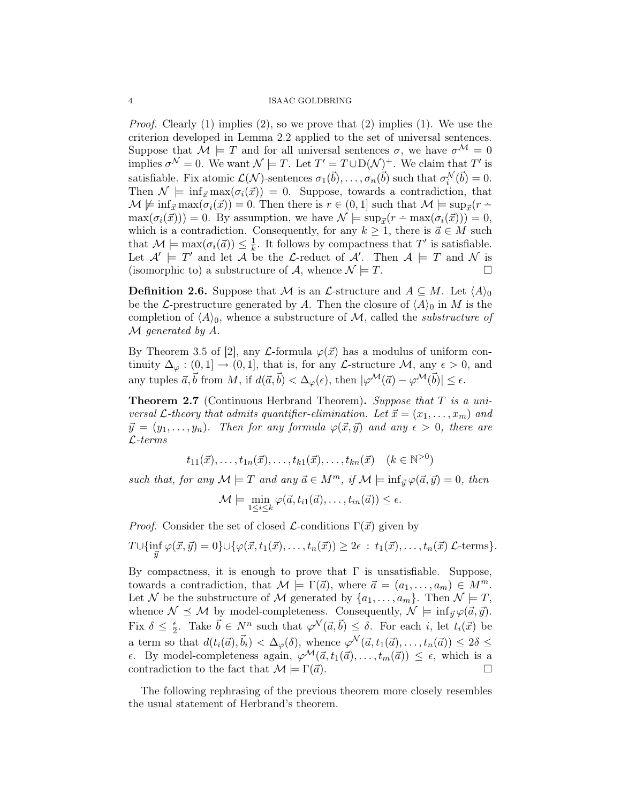*Proof.* Clearly (1) implies (2), so we prove that (2) implies (1). We use the criterion developed in Lemma 2.2 applied to the set of universal sentences. Suppose that  $\mathcal{M} \models T$  and for all universal sentences  $\sigma$ , we have  $\sigma^{\mathcal{M}} = 0$ implies  $\sigma^{\mathcal{N}} = 0$ . We want  $\mathcal{N} \models T$ . Let  $T' = T \cup D(\mathcal{N})^+$ . We claim that  $T'$  is satisfiable. Fix atomic  $\mathcal{L}(\mathcal{N})$ -sentences  $\sigma_1(\vec{b}), \ldots, \sigma_n(\vec{b})$  such that  $\sigma_i^{\mathcal{N}}(\vec{b}) = 0$ . Then  $\mathcal{N} \models \inf_{\vec{x}} \max(\sigma_i(\vec{x})) = 0$ . Suppose, towards a contradiction, that  $\mathcal{M} \not\models \inf_{\vec{x}} \max(\sigma_i(\vec{x})) = 0.$  Then there is  $r \in (0, 1]$  such that  $\mathcal{M} \models \sup_{\vec{x}} (r - \overline{\mathcal{M}})$  $\max(\sigma_i(\vec{x})) = 0$ . By assumption, we have  $\mathcal{N} \models \sup_{\vec{x}}(r - \max(\sigma_i(\vec{x}))) = 0$ , which is a contradiction. Consequently, for any  $k \geq 1$ , there is  $\vec{a} \in M$  such that  $\mathcal{M} \models \max(\sigma_i(\vec{a})) \leq \frac{1}{k}$  $\frac{1}{k}$ . It follows by compactness that T' is satisfiable. Let  $\mathcal{A}' \models T'$  and let  $\mathcal{A}$  be the L-reduct of  $\mathcal{A}'$ . Then  $\mathcal{A} \models T$  and  $\mathcal{N}$  is (isomorphic to) a substructure of A, whence  $\mathcal{N} \models T$ .

**Definition 2.6.** Suppose that M is an L-structure and  $A \subseteq M$ . Let  $\langle A \rangle_0$ be the L-prestructure generated by A. Then the closure of  $\langle A \rangle_0$  in M is the completion of  $\langle A \rangle_0$ , whence a substructure of M, called the *substructure of* M generated by A.

By Theorem 3.5 of [2], any  $\mathcal{L}$ -formula  $\varphi(\vec{x})$  has a modulus of uniform continuity  $\Delta_{\varphi} : (0,1] \to (0,1]$ , that is, for any *L*-structure *M*, any  $\epsilon > 0$ , and any tuples  $\vec{a}, \vec{b}$  from M, if  $d(\vec{a}, \vec{b}) < \Delta_{\varphi}(\epsilon)$ , then  $|\varphi^{\mathcal{M}}(\vec{a}) - \varphi^{\mathcal{M}}(\vec{b})| \leq \epsilon$ .

**Theorem 2.7** (Continuous Herbrand Theorem). Suppose that  $T$  is a universal  $\mathcal{L}$ -theory that admits quantifier-elimination. Let  $\vec{x} = (x_1, \ldots, x_m)$  and  $\vec{y} = (y_1, \ldots, y_n)$ . Then for any formula  $\varphi(\vec{x}, \vec{y})$  and any  $\epsilon > 0$ , there are L-terms

$$
t_{11}(\vec{x}),..., t_{1n}(\vec{x}),..., t_{k1}(\vec{x}),..., t_{kn}(\vec{x}) \quad (k \in \mathbb{N}^{>0})
$$

such that, for any  $\mathcal{M} \models T$  and any  $\vec{a} \in M^m$ , if  $\mathcal{M} \models \inf_{\vec{y}} \varphi(\vec{a}, \vec{y}) = 0$ , then

$$
\mathcal{M}\models \min_{1\leq i\leq k}\varphi(\vec{a},t_{i1}(\vec{a}),\ldots,t_{in}(\vec{a}))\leq \epsilon.
$$

*Proof.* Consider the set of closed  $\mathcal{L}$ -conditions  $\Gamma(\vec{x})$  given by

$$
T \cup \{ \inf_{\vec{y}} \varphi(\vec{x}, \vec{y}) = 0 \} \cup \{ \varphi(\vec{x}, t_1(\vec{x}), \dots, t_n(\vec{x})) \geq 2\epsilon : t_1(\vec{x}), \dots, t_n(\vec{x}) \mathcal{L}\text{-terms} \}.
$$

By compactness, it is enough to prove that  $\Gamma$  is unsatisfiable. Suppose, towards a contradiction, that  $\mathcal{M} \models \Gamma(\vec{a})$ , where  $\vec{a} = (a_1, \ldots, a_m) \in M^m$ . Let N be the substructure of M generated by  $\{a_1, \ldots, a_m\}$ . Then  $\mathcal{N} \models T$ , whence  $\mathcal{N} \preceq \mathcal{M}$  by model-completeness. Consequently,  $\mathcal{N} \models \inf_{\vec{y}} \varphi(\vec{a}, \vec{y}).$ Fix  $\delta \leq \frac{\epsilon}{2}$  $\frac{\epsilon}{2}$ . Take  $\vec{b} \in N^n$  such that  $\varphi^{\mathcal{N}}(\vec{a}, \vec{b}) \leq \delta$ . For each i, let  $t_i(\vec{x})$  be a term so that  $d(t_i(\vec{a}), \vec{b}_i) < \Delta_{\varphi}(\delta)$ , whence  $\varphi^{\mathcal{N}}(\vec{a}, t_1(\vec{a}), \ldots, t_n(\vec{a})) \leq 2\delta \leq$  $\epsilon$ . By model-completeness again,  $\varphi^{\mathcal{M}}(\vec{a}, t_1(\vec{a}), \ldots, t_m(\vec{a})) \leq \epsilon$ , which is a contradiction to the fact that  $\mathcal{M} \models \Gamma(\vec{a})$ .

The following rephrasing of the previous theorem more closely resembles the usual statement of Herbrand's theorem.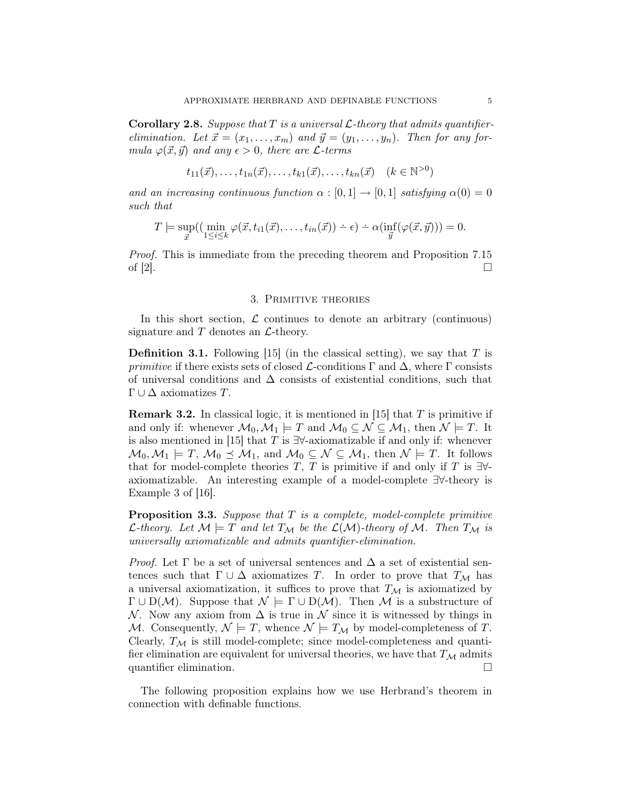**Corollary 2.8.** Suppose that T is a universal  $\mathcal{L}$ -theory that admits quantifierelimination. Let  $\vec{x} = (x_1, \ldots, x_m)$  and  $\vec{y} = (y_1, \ldots, y_n)$ . Then for any formula  $\varphi(\vec{x}, \vec{y})$  and any  $\epsilon > 0$ , there are *L*-terms

$$
t_{11}(\vec{x}),..., t_{1n}(\vec{x}),..., t_{k1}(\vec{x}),..., t_{kn}(\vec{x}) \quad (k \in \mathbb{N}^{>0})
$$

and an increasing continuous function  $\alpha : [0,1] \to [0,1]$  satisfying  $\alpha(0) = 0$ such that

$$
T \models \sup_{\vec{x}}((\min_{1 \leq i \leq k} \varphi(\vec{x}, t_{i1}(\vec{x}), \dots, t_{in}(\vec{x})) \div \epsilon) \div \alpha(\inf_{\vec{y}}(\varphi(\vec{x}, \vec{y}))) = 0.
$$

Proof. This is immediate from the preceding theorem and Proposition 7.15 of  $[2]$ .

## 3. Primitive theories

In this short section,  $\mathcal L$  continues to denote an arbitrary (continuous) signature and  $T$  denotes an  $\mathcal{L}\text{-theory.}$ 

**Definition 3.1.** Following [15] (in the classical setting), we say that  $T$  is primitive if there exists sets of closed  $\mathcal{L}$ -conditions  $\Gamma$  and  $\Delta$ , where  $\Gamma$  consists of universal conditions and  $\Delta$  consists of existential conditions, such that  $\Gamma \cup \Delta$  axiomatizes T.

**Remark 3.2.** In classical logic, it is mentioned in [15] that T is primitive if and only if: whenever  $\mathcal{M}_0, \mathcal{M}_1 \models T$  and  $\mathcal{M}_0 \subseteq \mathcal{N} \subseteq \mathcal{M}_1$ , then  $\mathcal{N} \models T$ . It is also mentioned in [15] that T is  $\exists \forall$ -axiomatizable if and only if: whenever  $M_0, M_1 \models T, M_0 \preceq M_1$ , and  $M_0 \subseteq N \subseteq M_1$ , then  $N \models T$ . It follows that for model-complete theories T, T is primitive if and only if T is  $\exists \forall$ axiomatizable. An interesting example of a model-complete ∃∀-theory is Example 3 of [16].

**Proposition 3.3.** Suppose that  $T$  is a complete, model-complete primitive *L*-theory. Let  $M \models T$  and let  $T_M$  be the  $\mathcal{L}(M)$ -theory of M. Then  $T_M$  is universally axiomatizable and admits quantifier-elimination.

*Proof.* Let  $\Gamma$  be a set of universal sentences and  $\Delta$  a set of existential sentences such that  $\Gamma \cup \Delta$  axiomatizes T. In order to prove that  $T_M$  has a universal axiomatization, it suffices to prove that  $T_M$  is axiomatized by  $\Gamma \cup D(\mathcal{M})$ . Suppose that  $\mathcal{N} \models \Gamma \cup D(\mathcal{M})$ . Then M is a substructure of N. Now any axiom from  $\Delta$  is true in N since it is witnessed by things in M. Consequently,  $\mathcal{N} \models T$ , whence  $\mathcal{N} \models T_{\mathcal{M}}$  by model-completeness of T. Clearly,  $T_M$  is still model-complete; since model-completeness and quantifier elimination are equivalent for universal theories, we have that  $T_M$  admits quantifier elimination.

The following proposition explains how we use Herbrand's theorem in connection with definable functions.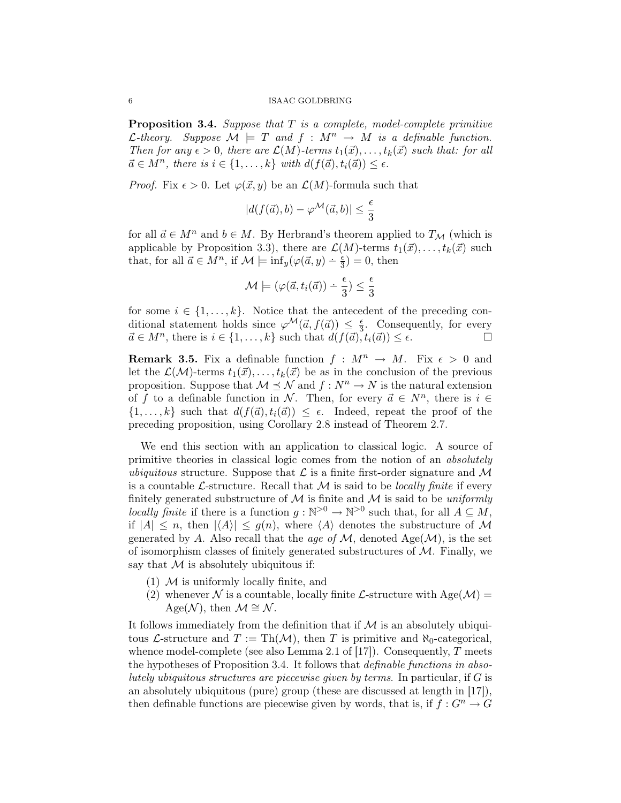**Proposition 3.4.** Suppose that  $T$  is a complete, model-complete primitive *C*-theory. Suppose  $\mathcal{M} \models T$  and  $f : M^n \to M$  is a definable function. Then for any  $\epsilon > 0$ , there are  $\mathcal{L}(M)$ -terms  $t_1(\vec{x}), \ldots, t_k(\vec{x})$  such that: for all  $\vec{a} \in M^n$ , there is  $i \in \{1, \ldots, k\}$  with  $d(f(\vec{a}), t_i(\vec{a})) \leq \epsilon$ .

*Proof.* Fix  $\epsilon > 0$ . Let  $\varphi(\vec{x}, y)$  be an  $\mathcal{L}(M)$ -formula such that

$$
|d(f(\vec{a}),b)-\varphi^{\mathcal{M}}(\vec{a},b)|\leq \frac{\epsilon}{3}
$$

for all  $\vec{a} \in M^n$  and  $b \in M$ . By Herbrand's theorem applied to  $T_M$  (which is applicable by Proposition 3.3), there are  $\mathcal{L}(M)$ -terms  $t_1(\vec{x}), \ldots, t_k(\vec{x})$  such that, for all  $\vec{a} \in \vec{M}^n$ , if  $\mathcal{M} \models \inf_y(\varphi(\vec{a}, y) - \frac{\epsilon}{3}) = 0$ , then

$$
\mathcal{M} \models (\varphi(\vec{a}, t_i(\vec{a})) \div \frac{\epsilon}{3}) \leq \frac{\epsilon}{3}
$$

for some  $i \in \{1, \ldots, k\}$ . Notice that the antecedent of the preceding conditional statement holds since  $\varphi^{\mathcal{M}}(\vec{a}, f(\vec{a})) \leq \frac{\epsilon}{3}$  $\frac{\epsilon}{3}$ . Consequently, for every  $\vec{a} \in M^n$ , there is  $i \in \{1, ..., k\}$  such that  $d(f(\vec{a}), t_i(\vec{a})) \leq \epsilon$ .

**Remark 3.5.** Fix a definable function  $f : M^n \to M$ . Fix  $\epsilon > 0$  and let the  $\mathcal{L}(\mathcal{M})$ -terms  $t_1(\vec{x}), \ldots, t_k(\vec{x})$  be as in the conclusion of the previous proposition. Suppose that  $M \preceq \mathcal{N}$  and  $f : N^n \to N$  is the natural extension of f to a definable function in N. Then, for every  $\vec{a} \in N^n$ , there is  $i \in$  $\{1, \ldots, k\}$  such that  $d(f(\vec{a}), t_i(\vec{a})) \leq \epsilon$ . Indeed, repeat the proof of the preceding proposition, using Corollary 2.8 instead of Theorem 2.7.

We end this section with an application to classical logic. A source of primitive theories in classical logic comes from the notion of an absolutely ubiquitous structure. Suppose that  $\mathcal L$  is a finite first-order signature and  $\mathcal M$ is a countable  $\mathcal{L}$ -structure. Recall that M is said to be *locally finite* if every finitely generated substructure of  $M$  is finite and  $M$  is said to be uniformly locally finite if there is a function  $g : \mathbb{N}^{>0} \to \mathbb{N}^{>0}$  such that, for all  $A \subseteq M$ , if  $|A| \leq n$ , then  $|\langle A \rangle| \leq q(n)$ , where  $\langle A \rangle$  denotes the substructure of M generated by A. Also recall that the age of  $\mathcal{M}$ , denoted Age( $\mathcal{M}$ ), is the set of isomorphism classes of finitely generated substructures of  $M$ . Finally, we say that  $M$  is absolutely ubiquitous if:

- $(1)$  M is uniformly locally finite, and
- (2) whenever N is a countable, locally finite L-structure with  $Age(M) =$ Age(N), then  $\mathcal{M} \cong \mathcal{N}$ .

It follows immediately from the definition that if  $\mathcal M$  is an absolutely ubiquitous L-structure and  $T := Th(\mathcal{M})$ , then T is primitive and  $\aleph_0$ -categorical, whence model-complete (see also Lemma 2.1 of [17]). Consequently,  $T$  meets the hypotheses of Proposition 3.4. It follows that definable functions in absolutely ubiquitous structures are piecewise given by terms. In particular, if  $G$  is an absolutely ubiquitous (pure) group (these are discussed at length in [17]), then definable functions are piecewise given by words, that is, if  $f: G^n \to G$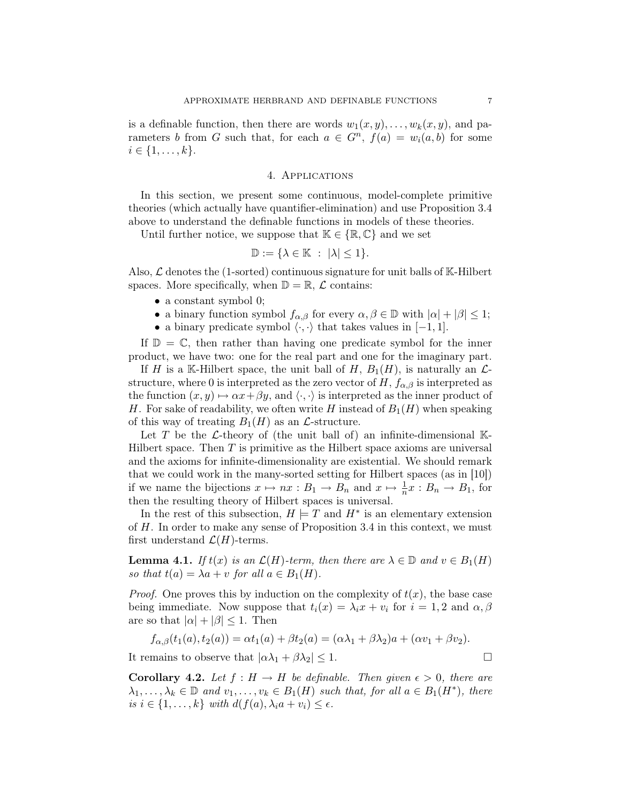is a definable function, then there are words  $w_1(x, y), \ldots, w_k(x, y)$ , and parameters b from G such that, for each  $a \in G^n$ ,  $f(a) = w_i(a, b)$  for some  $i \in \{1, \ldots, k\}.$ 

### 4. Applications

In this section, we present some continuous, model-complete primitive theories (which actually have quantifier-elimination) and use Proposition 3.4 above to understand the definable functions in models of these theories.

Until further notice, we suppose that  $\mathbb{K} \in \{ \mathbb{R}, \mathbb{C} \}$  and we set

$$
\mathbb{D} := \{ \lambda \in \mathbb{K} \ : \ |\lambda| \leq 1 \}.
$$

Also,  $\mathcal L$  denotes the (1-sorted) continuous signature for unit balls of K-Hilbert spaces. More specifically, when  $\mathbb{D} = \mathbb{R}, \mathcal{L}$  contains:

- a constant symbol 0;
- a binary function symbol  $f_{\alpha,\beta}$  for every  $\alpha,\beta\in\mathbb{D}$  with  $|\alpha|+|\beta|\leq 1$ ;
- a binary predicate symbol  $\langle \cdot, \cdot \rangle$  that takes values in  $[-1, 1]$ .

If  $\mathbb{D} = \mathbb{C}$ , then rather than having one predicate symbol for the inner product, we have two: one for the real part and one for the imaginary part.

If H is a K-Hilbert space, the unit ball of H,  $B_1(H)$ , is naturally an  $\mathcal{L}$ structure, where 0 is interpreted as the zero vector of  $H, f_{\alpha,\beta}$  is interpreted as the function  $(x, y) \mapsto \alpha x + \beta y$ , and  $\langle \cdot, \cdot \rangle$  is interpreted as the inner product of H. For sake of readability, we often write H instead of  $B_1(H)$  when speaking of this way of treating  $B_1(H)$  as an  $\mathcal{L}\text{-structure}$ .

Let T be the  $\mathcal L$ -theory of (the unit ball of) an infinite-dimensional K-Hilbert space. Then  $T$  is primitive as the Hilbert space axioms are universal and the axioms for infinite-dimensionality are existential. We should remark that we could work in the many-sorted setting for Hilbert spaces (as in [10]) if we name the bijections  $x \mapsto nx : B_1 \to B_n$  and  $x \mapsto \frac{1}{n}x : B_n \to B_1$ , for then the resulting theory of Hilbert spaces is universal.

In the rest of this subsection,  $H \models T$  and  $H^*$  is an elementary extension of H. In order to make any sense of Proposition 3.4 in this context, we must first understand  $\mathcal{L}(H)$ -terms.

**Lemma 4.1.** If  $t(x)$  is an  $\mathcal{L}(H)$ -term, then there are  $\lambda \in \mathbb{D}$  and  $v \in B_1(H)$ so that  $t(a) = \lambda a + v$  for all  $a \in B_1(H)$ .

*Proof.* One proves this by induction on the complexity of  $t(x)$ , the base case being immediate. Now suppose that  $t_i(x) = \lambda_i x + v_i$  for  $i = 1, 2$  and  $\alpha, \beta$ are so that  $|\alpha| + |\beta| \leq 1$ . Then

$$
f_{\alpha,\beta}(t_1(a),t_2(a)) = \alpha t_1(a) + \beta t_2(a) = (\alpha \lambda_1 + \beta \lambda_2)a + (\alpha v_1 + \beta v_2).
$$

It remains to observe that  $|\alpha \lambda_1 + \beta \lambda_2| \leq 1$ .

**Corollary 4.2.** Let  $f : H \to H$  be definable. Then given  $\epsilon > 0$ , there are  $\lambda_1, \ldots, \lambda_k \in \mathbb{D}$  and  $v_1, \ldots, v_k \in B_1(H)$  such that, for all  $a \in B_1(H^*)$ , there is  $i \in \{1, \ldots, k\}$  with  $d(f(a), \lambda_i a + v_i) \leq \epsilon$ .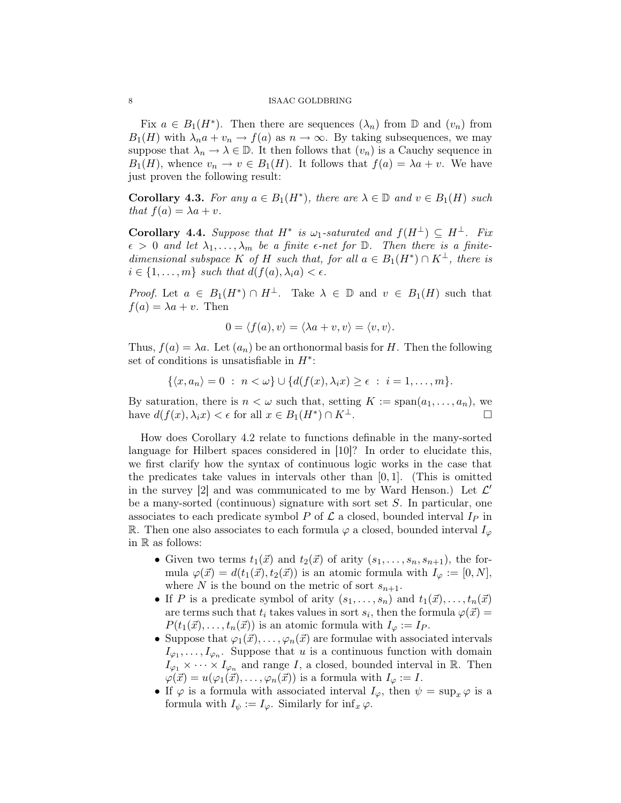Fix  $a \in B_1(H^*)$ . Then there are sequences  $(\lambda_n)$  from  $\mathbb D$  and  $(v_n)$  from  $B_1(H)$  with  $\lambda_n a + v_n \to f(a)$  as  $n \to \infty$ . By taking subsequences, we may suppose that  $\lambda_n \to \lambda \in \mathbb{D}$ . It then follows that  $(v_n)$  is a Cauchy sequence in  $B_1(H)$ , whence  $v_n \to v \in B_1(H)$ . It follows that  $f(a) = \lambda a + v$ . We have just proven the following result:

**Corollary 4.3.** For any  $a \in B_1(H^*)$ , there are  $\lambda \in \mathbb{D}$  and  $v \in B_1(H)$  such that  $f(a) = \lambda a + v$ .

Corollary 4.4. Suppose that  $H^*$  is  $\omega_1$ -saturated and  $f(H^{\perp}) \subseteq H^{\perp}$ . Fix  $\epsilon > 0$  and let  $\lambda_1, \ldots, \lambda_m$  be a finite  $\epsilon$ -net for  $\mathbb D$ . Then there is a finitedimensional subspace K of H such that, for all  $a \in B_1(H^*) \cap K^{\perp}$ , there is  $i \in \{1, \ldots, m\}$  such that  $d(f(a), \lambda_i a) < \epsilon$ .

*Proof.* Let  $a \in B_1(H^*) \cap H^{\perp}$ . Take  $\lambda \in \mathbb{D}$  and  $v \in B_1(H)$  such that  $f(a) = \lambda a + v$ . Then

$$
0 = \langle f(a), v \rangle = \langle \lambda a + v, v \rangle = \langle v, v \rangle.
$$

Thus,  $f(a) = \lambda a$ . Let  $(a_n)$  be an orthonormal basis for H. Then the following set of conditions is unsatisfiable in  $H^*$ :

$$
\{\langle x, a_n\rangle = 0 \; : \; n < \omega\} \cup \{d(f(x), \lambda_i x) \geq \epsilon \; : \; i = 1, \ldots, m\}.
$$

By saturation, there is  $n < \omega$  such that, setting  $K := \text{span}(a_1, \ldots, a_n)$ , we have  $d(f(x), \lambda_i x) < \epsilon$  for all  $x \in B_1(H^*) \cap K^{\perp}$ .

How does Corollary 4.2 relate to functions definable in the many-sorted language for Hilbert spaces considered in [10]? In order to elucidate this, we first clarify how the syntax of continuous logic works in the case that the predicates take values in intervals other than  $[0, 1]$ . (This is omitted in the survey [2] and was communicated to me by Ward Henson.) Let  $\mathcal{L}'$ be a many-sorted (continuous) signature with sort set S. In particular, one associates to each predicate symbol P of  $\mathcal L$  a closed, bounded interval  $I_P$  in R. Then one also associates to each formula  $\varphi$  a closed, bounded interval  $I_{\varphi}$ in R as follows:

- Given two terms  $t_1(\vec{x})$  and  $t_2(\vec{x})$  of arity  $(s_1, \ldots, s_n, s_{n+1})$ , the formula  $\varphi(\vec{x}) = d(t_1(\vec{x}), t_2(\vec{x}))$  is an atomic formula with  $I_{\varphi} := [0, N],$ where N is the bound on the metric of sort  $s_{n+1}$ .
- If P is a predicate symbol of arity  $(s_1, \ldots, s_n)$  and  $t_1(\vec{x}), \ldots, t_n(\vec{x})$ are terms such that  $t_i$  takes values in sort  $s_i$ , then the formula  $\varphi(\vec{x}) =$  $P(t_1(\vec{x}), \ldots, t_n(\vec{x}))$  is an atomic formula with  $I_\varphi := I_P$ .
- Suppose that  $\varphi_1(\vec{x}), \ldots, \varphi_n(\vec{x})$  are formulae with associated intervals  $I_{\varphi_1}, \ldots, I_{\varphi_n}$ . Suppose that u is a continuous function with domain  $I_{\varphi_1} \times \cdots \times I_{\varphi_n}$  and range I, a closed, bounded interval in R. Then  $\varphi(\vec{x}) = u(\varphi_1(\vec{x}), \ldots, \varphi_n(\vec{x}))$  is a formula with  $I_{\varphi} := I$ .
- If  $\varphi$  is a formula with associated interval  $I_{\varphi}$ , then  $\psi = \sup_x \varphi$  is a formula with  $I_{\psi} := I_{\varphi}$ . Similarly for  $\inf_{x} \varphi$ .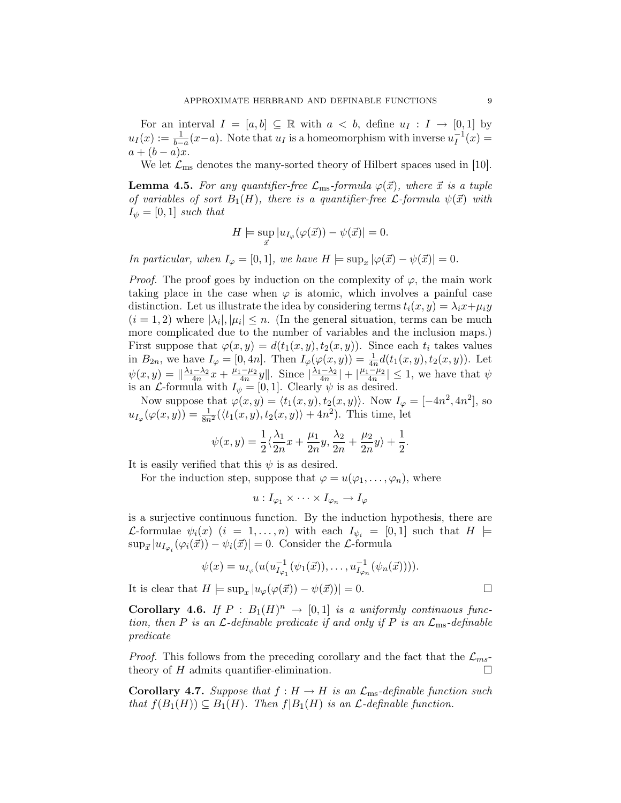For an interval  $I = [a, b] \subseteq \mathbb{R}$  with  $a < b$ , define  $u_I : I \to [0, 1]$  by  $u_I(x) := \frac{1}{b-a}(x-a)$ . Note that  $u_I$  is a homeomorphism with inverse  $u_I^{-1}$  $I^{-1}(x) =$  $a + (b - a)x$ .

We let  $\mathcal{L}_{\text{ms}}$  denotes the many-sorted theory of Hilbert spaces used in [10].

**Lemma 4.5.** For any quantifier-free  $\mathcal{L}_{\text{ms}}$ -formula  $\varphi(\vec{x})$ , where  $\vec{x}$  is a tuple of variables of sort  $B_1(H)$ , there is a quantifier-free *L*-formula  $\psi(\vec{x})$  with  $I_{\psi} = [0, 1]$  such that

$$
H \models \sup_{\vec{x}} |u_{I_{\varphi}}(\varphi(\vec{x})) - \psi(\vec{x})| = 0.
$$

In particular, when  $I_{\varphi} = [0,1]$ , we have  $H \models \sup_x |\varphi(\vec{x}) - \psi(\vec{x})| = 0$ .

*Proof.* The proof goes by induction on the complexity of  $\varphi$ , the main work taking place in the case when  $\varphi$  is atomic, which involves a painful case distinction. Let us illustrate the idea by considering terms  $t_i(x, y) = \lambda_i x + \mu_i y$  $(i = 1, 2)$  where  $|\lambda_i|, |\mu_i| \leq n$ . (In the general situation, terms can be much more complicated due to the number of variables and the inclusion maps.) First suppose that  $\varphi(x, y) = d(t_1(x, y), t_2(x, y))$ . Since each  $t_i$  takes values in  $B_{2n}$ , we have  $I_{\varphi} = [0, 4n]$ . Then  $I_{\varphi}(\varphi(x, y)) = \frac{1}{4n} d(t_1(x, y), t_2(x, y))$ . Let  $\psi(x,y) = \|\frac{\lambda_1 - \lambda_2}{4n}x + \frac{\mu_1 - \mu_2}{4n}$  $\frac{-\mu_2}{4n}y\|\cdot\ \text{Since } \left|\frac{\lambda_1-\lambda_2}{4n}\right|+\left|\frac{\mu_1-\mu_2}{4n}\right|$  $\left|\frac{-\mu_2}{4n}\right| \leq 1$ , we have that  $\psi$ is an *L*-formula with  $I_{\psi} = [0, 1]$ . Clearly  $\psi$  is as desired.

Now suppose that  $\varphi(x, y) = \langle t_1(x, y), t_2(x, y) \rangle$ . Now  $I_{\varphi} = [-4n^2, 4n^2]$ , so  $u_{I_{\varphi}}(\varphi(x,y)) = \frac{1}{8n^2} (\langle t_1(x,y), t_2(x,y) \rangle + 4n^2)$ . This time, let

$$
\psi(x,y) = \frac{1}{2}\langle \frac{\lambda_1}{2n}x + \frac{\mu_1}{2n}y, \frac{\lambda_2}{2n} + \frac{\mu_2}{2n}y \rangle + \frac{1}{2}.
$$

It is easily verified that this  $\psi$  is as desired.

For the induction step, suppose that  $\varphi = u(\varphi_1, \ldots, \varphi_n)$ , where

$$
u: I_{\varphi_1} \times \cdots \times I_{\varphi_n} \to I_{\varphi}
$$

is a surjective continuous function. By the induction hypothesis, there are L-formulae  $\psi_i(x)$   $(i = 1, \ldots, n)$  with each  $I_{\psi_i} = [0, 1]$  such that  $H \models$  $\sup_{\vec{x}} |u_{I_{\varphi_i}}(\varphi_i(\vec{x})) - \psi_i(\vec{x})| = 0.$  Consider the *L*-formula

$$
\psi(x) = u_{I_{\varphi}}(u(u_{I_{\varphi_1}}^{-1}(\psi_1(\vec{x})), \dots, u_{I_{\varphi_n}}^{-1}(\psi_n(\vec{x}))).
$$

It is clear that  $H \models \sup_x |u_\varphi(\varphi(\vec{x})) - \psi(\vec{x}))| = 0.$ 

**Corollary 4.6.** If  $P : B_1(H)^n \to [0,1]$  is a uniformly continuous function, then P is an  $\mathcal{L}\text{-}definable predicate if and only if P is an  $\mathcal{L}_{\text{ms}}\text{-}definable$$ predicate

*Proof.* This follows from the preceding corollary and the fact that the  $\mathcal{L}_{ms}$ theory of  $H$  admits quantifier-elimination.  $\Box$ 

**Corollary 4.7.** Suppose that  $f : H \to H$  is an  $\mathcal{L}_{\text{ms}}$ -definable function such that  $f(B_1(H)) \subseteq B_1(H)$ . Then  $f(B_1(H))$  is an  $\mathcal{L}\text{-}definable function$ .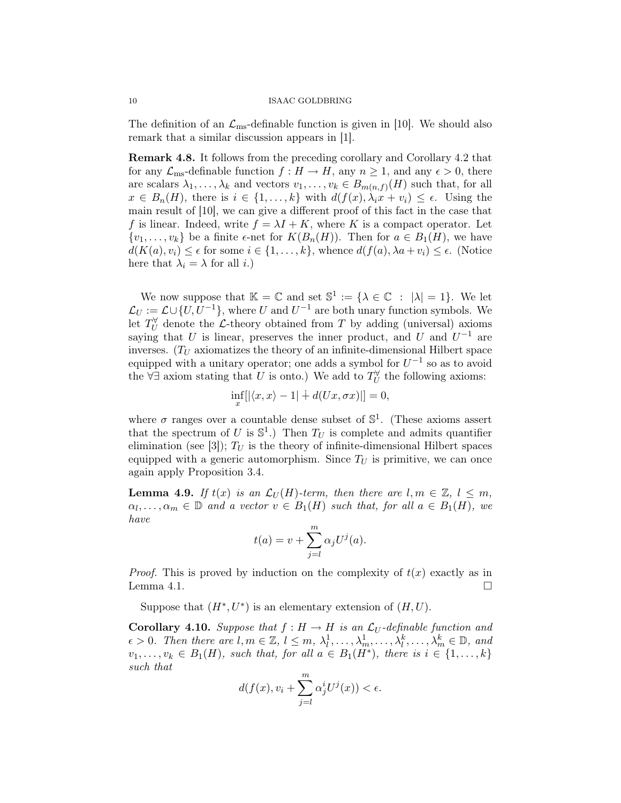The definition of an  $\mathcal{L}_{\text{ms}}$ -definable function is given in [10]. We should also remark that a similar discussion appears in [1].

Remark 4.8. It follows from the preceding corollary and Corollary 4.2 that for any  $\mathcal{L}_{\text{ms}}$ -definable function  $f : H \to H$ , any  $n \geq 1$ , and any  $\epsilon > 0$ , there are scalars  $\lambda_1, \ldots, \lambda_k$  and vectors  $v_1, \ldots, v_k \in B_{m(n,f)}(H)$  such that, for all  $x \in B_n(H)$ , there is  $i \in \{1, ..., k\}$  with  $d(f(x), \lambda_i x + v_i) \leq \epsilon$ . Using the main result of [10], we can give a different proof of this fact in the case that f is linear. Indeed, write  $f = \lambda I + K$ , where K is a compact operator. Let  $\{v_1, \ldots, v_k\}$  be a finite  $\epsilon$ -net for  $K(B_n(H))$ . Then for  $a \in B_1(H)$ , we have  $d(K(a), v_i) \leq \epsilon$  for some  $i \in \{1, ..., k\}$ , whence  $d(f(a), \lambda a + v_i) \leq \epsilon$ . (Notice here that  $\lambda_i = \lambda$  for all *i*.)

We now suppose that  $\mathbb{K} = \mathbb{C}$  and set  $\mathbb{S}^1 := {\lambda \in \mathbb{C} : |\lambda| = 1}.$  We let  $\mathcal{L}_U := \mathcal{L} \cup \{U, U^{-1}\},\$  where U and  $U^{-1}$  are both unary function symbols. We let  $T_U^{\forall}$  denote the  $\mathcal{L}$ -theory obtained from T by adding (universal) axioms saying that U is linear, preserves the inner product, and U and  $U^{-1}$  are inverses.  $(T_U$  axiomatizes the theory of an infinite-dimensional Hilbert space equipped with a unitary operator; one adds a symbol for  $U^{-1}$  so as to avoid the  $\forall \exists$  axiom stating that U is onto.) We add to  $T_U^{\forall}$  the following axioms:

$$
\inf_x[|\langle x, x \rangle - 1| + d(Ux, \sigma x)|] = 0,
$$

where  $\sigma$  ranges over a countable dense subset of  $\mathbb{S}^1$ . (These axioms assert that the spectrum of U is  $\mathbb{S}^1$ .) Then  $T_U$  is complete and admits quantifier elimination (see [3]);  $T_U$  is the theory of infinite-dimensional Hilbert spaces equipped with a generic automorphism. Since  $T_U$  is primitive, we can once again apply Proposition 3.4.

**Lemma 4.9.** If  $t(x)$  is an  $\mathcal{L}_U(H)$ -term, then there are  $l, m \in \mathbb{Z}, l \leq m$ ,  $\alpha_l, \ldots, \alpha_m \in \mathbb{D}$  and a vector  $v \in B_1(H)$  such that, for all  $a \in B_1(H)$ , we have

$$
t(a) = v + \sum_{j=l}^{m} \alpha_j U^j(a).
$$

*Proof.* This is proved by induction on the complexity of  $t(x)$  exactly as in Lemma 4.1.  $\Box$ 

Suppose that  $(H^*, U^*)$  is an elementary extension of  $(H, U)$ .

**Corollary 4.10.** Suppose that  $f : H \to H$  is an  $\mathcal{L}_U$ -definable function and  $\epsilon > 0$ . Then there are  $l, m \in \mathbb{Z}, l \leq m, \lambda_l^1, \ldots, \lambda_m^1, \ldots, \lambda_l^k, \ldots, \lambda_m^k \in \mathbb{D}$ , and  $v_1, \ldots, v_k \in B_1(H)$ , such that, for all  $a \in B_1(H^*)$ , there is  $i \in \{1, \ldots, k\}$ such that

$$
d(f(x), v_i + \sum_{j=l}^{m} \alpha_j^i U^j(x)) < \epsilon.
$$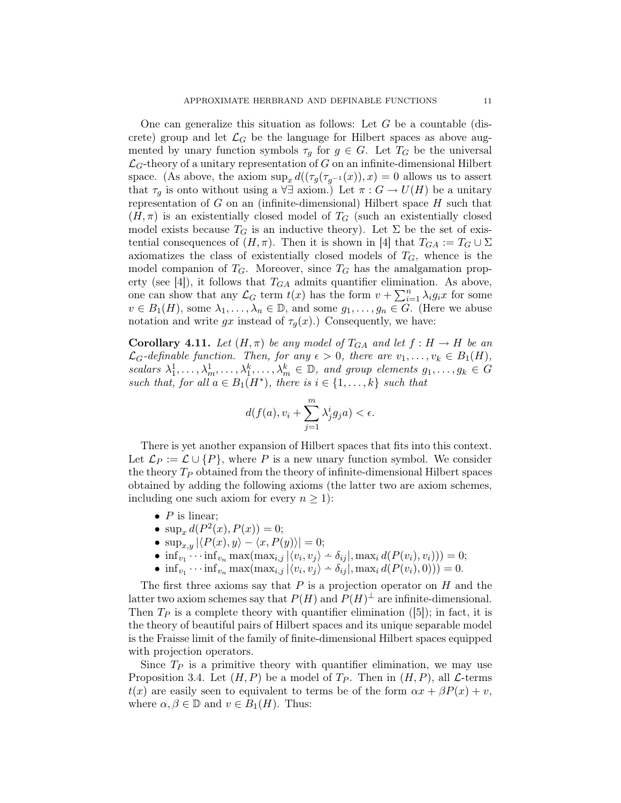One can generalize this situation as follows: Let  $G$  be a countable (discrete) group and let  $\mathcal{L}_G$  be the language for Hilbert spaces as above augmented by unary function symbols  $\tau_g$  for  $g \in G$ . Let  $T_G$  be the universal  $\mathcal{L}_G$ -theory of a unitary representation of G on an infinite-dimensional Hilbert space. (As above, the axiom  $\sup_x d((\tau_g(\tau_{g^{-1}}(x)), x) = 0$  allows us to assert that  $\tau_g$  is onto without using a  $\forall \exists$  axiom.) Let  $\pi : G \to U(H)$  be a unitary representation of  $G$  on an (infinite-dimensional) Hilbert space  $H$  such that  $(H, \pi)$  is an existentially closed model of  $T_G$  (such an existentially closed model exists because  $T_G$  is an inductive theory). Let  $\Sigma$  be the set of existential consequences of  $(H, \pi)$ . Then it is shown in [4] that  $T_{GA} := T_G \cup \Sigma$ axiomatizes the class of existentially closed models of  $T<sub>G</sub>$ , whence is the model companion of  $T_G$ . Moreover, since  $T_G$  has the amalgamation property (see [4]), it follows that  $T_{GA}$  admits quantifier elimination. As above, one can show that any  $\mathcal{L}_G$  term  $t(x)$  has the form  $v + \sum_{i=1}^n \lambda_i g_i x$  for some  $v \in B_1(H)$ , some  $\lambda_1, \ldots, \lambda_n \in \mathbb{D}$ , and some  $g_1, \ldots, g_n \in G$ . (Here we abuse notation and write  $gx$  instead of  $\tau_q(x)$ .) Consequently, we have:

**Corollary 4.11.** Let  $(H, \pi)$  be any model of  $T_{GA}$  and let  $f : H \to H$  be an  $\mathcal{L}_G$ -definable function. Then, for any  $\epsilon > 0$ , there are  $v_1, \ldots, v_k \in B_1(H)$ , scalars  $\lambda_1^1, \ldots, \lambda_m^1, \ldots, \lambda_1^k, \ldots, \lambda_m^k \in \mathbb{D}$ , and group elements  $g_1, \ldots, g_k \in G$ such that, for all  $a \in B_1(H^*)$ , there is  $i \in \{1, \ldots, k\}$  such that

$$
d(f(a), v_i + \sum_{j=1}^m \lambda_j^i g_j a) < \epsilon.
$$

There is yet another expansion of Hilbert spaces that fits into this context. Let  $\mathcal{L}_P := \mathcal{L} \cup \{P\}$ , where P is a new unary function symbol. We consider the theory  $T_P$  obtained from the theory of infinite-dimensional Hilbert spaces obtained by adding the following axioms (the latter two are axiom schemes, including one such axiom for every  $n \geq 1$ :

- $\bullet$  P is linear;
- $\sup_x d(P^2(x), P(x)) = 0;$
- $\sup_{x,y} |\langle P(x), y \rangle \langle x, P(y) \rangle| = 0;$
- $\inf_{v_1} \cdots \inf_{v_n} \max(\max_{i,j} |\langle v_i, v_j \rangle \delta_{ij}|, \max_i d(P(v_i), v_i))) = 0;$
- $\inf_{v_1} \cdots \inf_{v_n} \max(\max_{i,j} |\langle v_i, v_j \rangle \delta_{ij}|, \max_i d(P(v_i), 0))) = 0.$

The first three axioms say that  $P$  is a projection operator on  $H$  and the latter two axiom schemes say that  $P(H)$  and  $P(H)^{\perp}$  are infinite-dimensional. Then  $T_P$  is a complete theory with quantifier elimination ([5]); in fact, it is the theory of beautiful pairs of Hilbert spaces and its unique separable model is the Fraisse limit of the family of finite-dimensional Hilbert spaces equipped with projection operators.

Since  $T_P$  is a primitive theory with quantifier elimination, we may use Proposition 3.4. Let  $(H, P)$  be a model of  $T_P$ . Then in  $(H, P)$ , all  $\mathcal{L}$ -terms  $t(x)$  are easily seen to equivalent to terms be of the form  $\alpha x + \beta P(x) + v$ , where  $\alpha, \beta \in \mathbb{D}$  and  $v \in B_1(H)$ . Thus: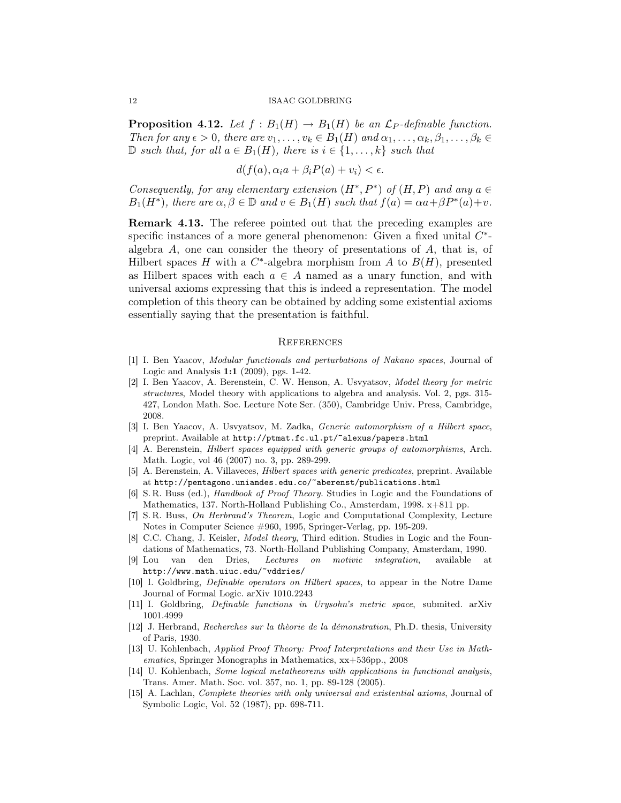**Proposition 4.12.** Let  $f : B_1(H) \to B_1(H)$  be an  $\mathcal{L}_P$ -definable function. Then for any  $\epsilon > 0$ , there are  $v_1, \ldots, v_k \in B_1(H)$  and  $\alpha_1, \ldots, \alpha_k, \beta_1, \ldots, \beta_k \in$  $\n ⊓ such that, for all  $a \in B_1(H)$ , there is  $i \in \{1, \ldots, k\}$  such that$ 

 $d(f(a), \alpha_i a + \beta_i P(a) + v_i) < \epsilon.$ 

Consequently, for any elementary extension  $(H^*, P^*)$  of  $(H, P)$  and any  $a \in$  $B_1(H^*)$ , there are  $\alpha, \beta \in \mathbb{D}$  and  $v \in B_1(H)$  such that  $f(a) = \alpha a + \beta P^*(a) + v$ .

Remark 4.13. The referee pointed out that the preceding examples are specific instances of a more general phenomenon: Given a fixed unital  $C^*$ algebra  $A$ , one can consider the theory of presentations of  $A$ , that is, of Hilbert spaces H with a  $C^*$ -algebra morphism from A to  $B(H)$ , presented as Hilbert spaces with each  $a \in A$  named as a unary function, and with universal axioms expressing that this is indeed a representation. The model completion of this theory can be obtained by adding some existential axioms essentially saying that the presentation is faithful.

### **REFERENCES**

- [1] I. Ben Yaacov, Modular functionals and perturbations of Nakano spaces, Journal of Logic and Analysis 1:1 (2009), pgs. 1-42.
- [2] I. Ben Yaacov, A. Berenstein, C. W. Henson, A. Usvyatsov, Model theory for metric structures, Model theory with applications to algebra and analysis. Vol. 2, pgs. 315- 427, London Math. Soc. Lecture Note Ser. (350), Cambridge Univ. Press, Cambridge, 2008.
- [3] I. Ben Yaacov, A. Usvyatsov, M. Zadka, Generic automorphism of a Hilbert space, preprint. Available at http://ptmat.fc.ul.pt/~alexus/papers.html
- [4] A. Berenstein, Hilbert spaces equipped with generic groups of automorphisms, Arch. Math. Logic, vol 46 (2007) no. 3, pp. 289-299.
- [5] A. Berenstein, A. Villaveces, Hilbert spaces with generic predicates, preprint. Available at http://pentagono.uniandes.edu.co/~aberenst/publications.html
- [6] S. R. Buss (ed.), Handbook of Proof Theory. Studies in Logic and the Foundations of Mathematics, 137. North-Holland Publishing Co., Amsterdam, 1998. x+811 pp.
- [7] S. R. Buss, On Herbrand's Theorem, Logic and Computational Complexity, Lecture Notes in Computer Science #960, 1995, Springer-Verlag, pp. 195-209.
- [8] C.C. Chang, J. Keisler, *Model theory*, Third edition. Studies in Logic and the Foundations of Mathematics, 73. North-Holland Publishing Company, Amsterdam, 1990.
- [9] Lou van den Dries, Lectures on motivic integration, available at http://www.math.uiuc.edu/~vddries/
- [10] I. Goldbring, Definable operators on Hilbert spaces, to appear in the Notre Dame Journal of Formal Logic. arXiv 1010.2243
- [11] I. Goldbring, Definable functions in Urysohn's metric space, submited. arXiv 1001.4999
- [12] J. Herbrand, Recherches sur la thèorie de la démonstration, Ph.D. thesis, University of Paris, 1930.
- [13] U. Kohlenbach, Applied Proof Theory: Proof Interpretations and their Use in Mathematics, Springer Monographs in Mathematics, xx+536pp., 2008
- [14] U. Kohlenbach, Some logical metatheorems with applications in functional analysis, Trans. Amer. Math. Soc. vol. 357, no. 1, pp. 89-128 (2005).
- [15] A. Lachlan, Complete theories with only universal and existential axioms, Journal of Symbolic Logic, Vol. 52 (1987), pp. 698-711.